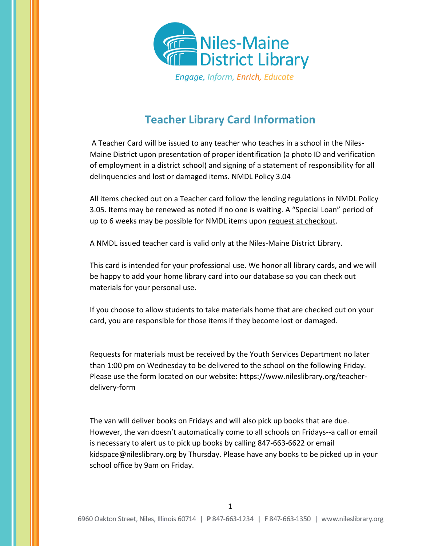

## **Teacher Library Card Information**

A Teacher Card will be issued to any teacher who teaches in a school in the Niles-Maine District upon presentation of proper identification (a photo ID and verification of employment in a district school) and signing of a statement of responsibility for all delinquencies and lost or damaged items. NMDL Policy 3.04

All items checked out on a Teacher card follow the lending regulations in NMDL Policy 3.05. Items may be renewed as noted if no one is waiting. A "Special Loan" period of up to 6 weeks may be possible for NMDL items upon request at checkout.

A NMDL issued teacher card is valid only at the Niles-Maine District Library.

This card is intended for your professional use. We honor all library cards, and we will be happy to add your home library card into our database so you can check out materials for your personal use.

If you choose to allow students to take materials home that are checked out on your card, you are responsible for those items if they become lost or damaged.

Requests for materials must be received by the Youth Services Department no later than 1:00 pm on Wednesday to be delivered to the school on the following Friday. Please use the form located on our website: https://www.nileslibrary.org/teacherdelivery-form

The van will deliver books on Fridays and will also pick up books that are due. However, the van doesn't automatically come to all schools on Fridays--a call or email is necessary to alert us to pick up books by calling 847-663-6622 or email kidspace@nileslibrary.org by Thursday. Please have any books to be picked up in your school office by 9am on Friday.